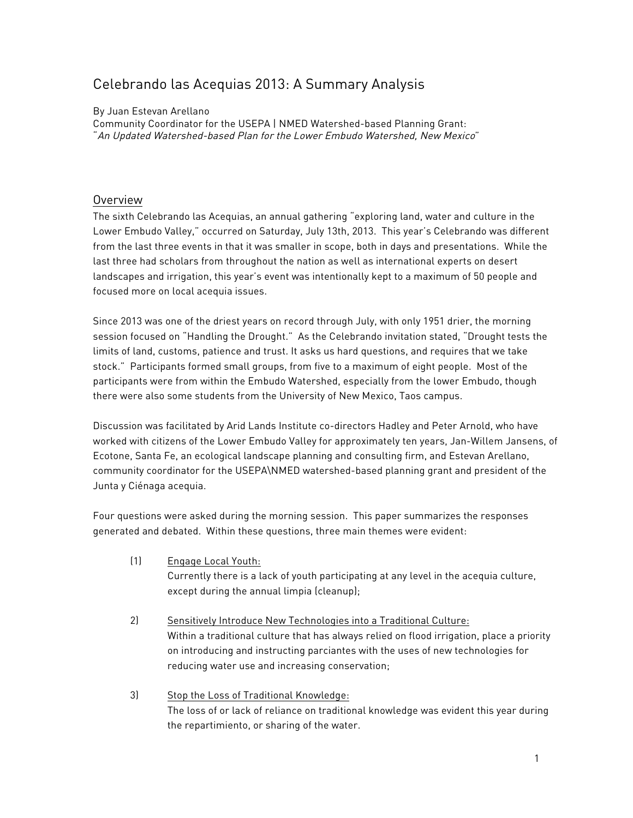# Celebrando las Acequias 2013: A Summary Analysis

## By Juan Estevan Arellano

Community Coordinator for the USEPA | NMED Watershed-based Planning Grant: "An Updated Watershed-based Plan for the Lower Embudo Watershed, New Mexico"

# Overview

The sixth Celebrando las Acequias, an annual gathering "exploring land, water and culture in the Lower Embudo Valley," occurred on Saturday, July 13th, 2013. This year's Celebrando was different from the last three events in that it was smaller in scope, both in days and presentations. While the last three had scholars from throughout the nation as well as international experts on desert landscapes and irrigation, this year's event was intentionally kept to a maximum of 50 people and focused more on local acequia issues.

Since 2013 was one of the driest years on record through July, with only 1951 drier, the morning session focused on "Handling the Drought." As the Celebrando invitation stated, "Drought tests the limits of land, customs, patience and trust. It asks us hard questions, and requires that we take stock." Participants formed small groups, from five to a maximum of eight people. Most of the participants were from within the Embudo Watershed, especially from the lower Embudo, though there were also some students from the University of New Mexico, Taos campus.

Discussion was facilitated by Arid Lands Institute co-directors Hadley and Peter Arnold, who have worked with citizens of the Lower Embudo Valley for approximately ten years, Jan-Willem Jansens, of Ecotone, Santa Fe, an ecological landscape planning and consulting firm, and Estevan Arellano, community coordinator for the USEPA\NMED watershed-based planning grant and president of the Junta y Ciénaga acequia.

Four questions were asked during the morning session. This paper summarizes the responses generated and debated. Within these questions, three main themes were evident:

- (1) Engage Local Youth: Currently there is a lack of youth participating at any level in the acequia culture, except during the annual limpia (cleanup);
- 2) Sensitively Introduce New Technologies into a Traditional Culture: Within a traditional culture that has always relied on flood irrigation, place a priority on introducing and instructing parciantes with the uses of new technologies for reducing water use and increasing conservation;
- 3) Stop the Loss of Traditional Knowledge: The loss of or lack of reliance on traditional knowledge was evident this year during the repartimiento, or sharing of the water.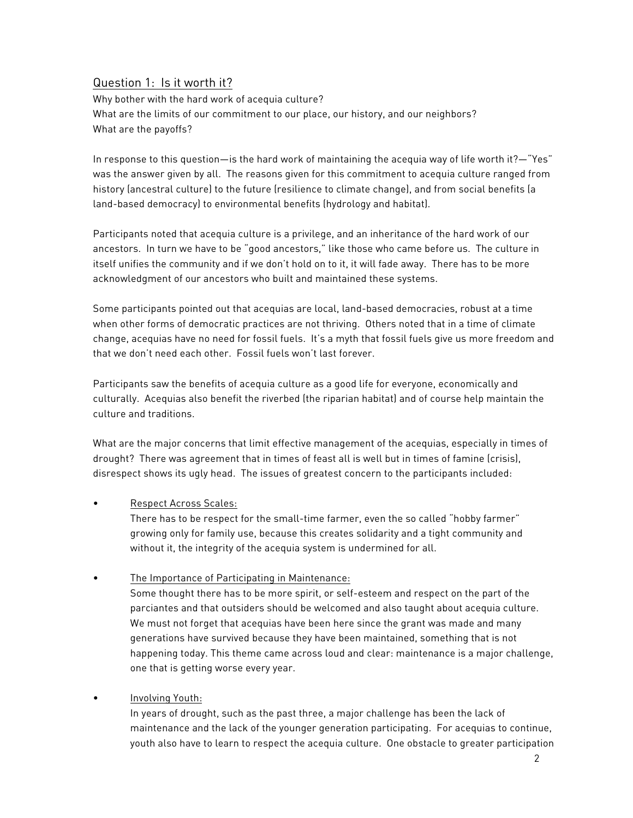# Question 1: Is it worth it?

Why bother with the hard work of acequia culture? What are the limits of our commitment to our place, our history, and our neighbors? What are the payoffs?

In response to this question—is the hard work of maintaining the acequia way of life worth it?—"Yes" was the answer given by all. The reasons given for this commitment to acequia culture ranged from history (ancestral culture) to the future (resilience to climate change), and from social benefits (a land-based democracy) to environmental benefits (hydrology and habitat).

Participants noted that acequia culture is a privilege, and an inheritance of the hard work of our ancestors. In turn we have to be "good ancestors," like those who came before us. The culture in itself unifies the community and if we don't hold on to it, it will fade away. There has to be more acknowledgment of our ancestors who built and maintained these systems.

Some participants pointed out that acequias are local, land-based democracies, robust at a time when other forms of democratic practices are not thriving. Others noted that in a time of climate change, acequias have no need for fossil fuels. It's a myth that fossil fuels give us more freedom and that we don't need each other. Fossil fuels won't last forever.

Participants saw the benefits of acequia culture as a good life for everyone, economically and culturally. Acequias also benefit the riverbed (the riparian habitat) and of course help maintain the culture and traditions.

What are the major concerns that limit effective management of the acequias, especially in times of drought? There was agreement that in times of feast all is well but in times of famine (crisis), disrespect shows its ugly head. The issues of greatest concern to the participants included:

## • Respect Across Scales:

There has to be respect for the small-time farmer, even the so called "hobby farmer" growing only for family use, because this creates solidarity and a tight community and without it, the integrity of the acequia system is undermined for all.

The Importance of Participating in Maintenance:

Some thought there has to be more spirit, or self-esteem and respect on the part of the parciantes and that outsiders should be welcomed and also taught about acequia culture. We must not forget that acequias have been here since the grant was made and many generations have survived because they have been maintained, something that is not happening today. This theme came across loud and clear: maintenance is a major challenge, one that is getting worse every year.

## • Involving Youth:

In years of drought, such as the past three, a major challenge has been the lack of maintenance and the lack of the younger generation participating. For acequias to continue, youth also have to learn to respect the acequia culture. One obstacle to greater participation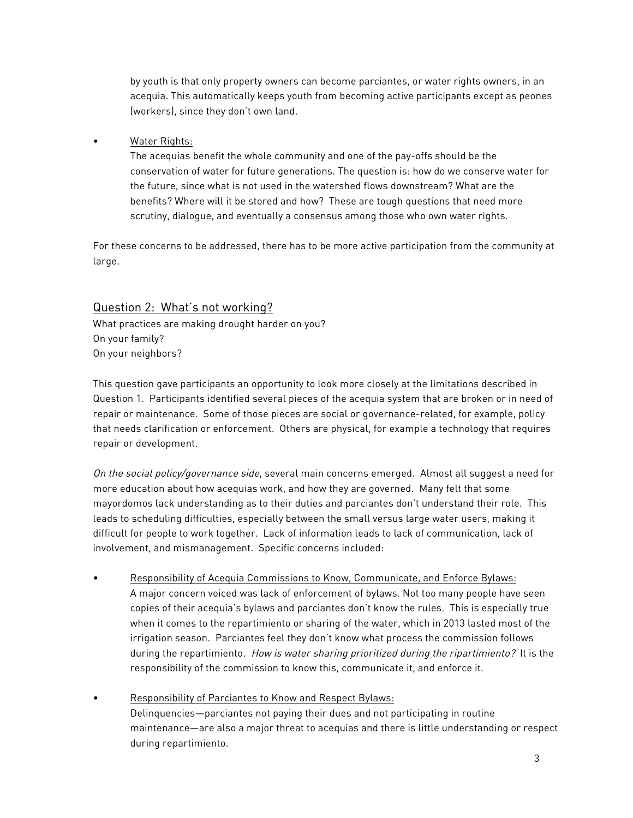by youth is that only property owners can become parciantes, or water rights owners, in an acequia. This automatically keeps youth from becoming active participants except as peones (workers), since they don't own land.

• Water Rights:

The acequias benefit the whole community and one of the pay-offs should be the conservation of water for future generations. The question is: how do we conserve water for the future, since what is not used in the watershed flows downstream? What are the benefits? Where will it be stored and how? These are tough questions that need more scrutiny, dialogue, and eventually a consensus among those who own water rights.

For these concerns to be addressed, there has to be more active participation from the community at large.

# Question 2: What's not working?

What practices are making drought harder on you? On your family? On your neighbors?

This question gave participants an opportunity to look more closely at the limitations described in Question 1. Participants identified several pieces of the acequia system that are broken or in need of repair or maintenance. Some of those pieces are social or governance-related, for example, policy that needs clarification or enforcement. Others are physical, for example a technology that requires repair or development.

On the social policy/governance side, several main concerns emerged. Almost all suggest a need for more education about how acequias work, and how they are governed. Many felt that some mayordomos lack understanding as to their duties and parciantes don't understand their role. This leads to scheduling difficulties, especially between the small versus large water users, making it difficult for people to work together. Lack of information leads to lack of communication, lack of involvement, and mismanagement. Specific concerns included:

- Responsibility of Acequia Commissions to Know, Communicate, and Enforce Bylaws: A major concern voiced was lack of enforcement of bylaws. Not too many people have seen copies of their acequia's bylaws and parciantes don't know the rules. This is especially true when it comes to the repartimiento or sharing of the water, which in 2013 lasted most of the irrigation season. Parciantes feel they don't know what process the commission follows during the repartimiento. How is water sharing prioritized during the ripartimiento? It is the responsibility of the commission to know this, communicate it, and enforce it.
- Responsibility of Parciantes to Know and Respect Bylaws: Delinquencies—parciantes not paying their dues and not participating in routine maintenance—are also a major threat to acequias and there is little understanding or respect during repartimiento.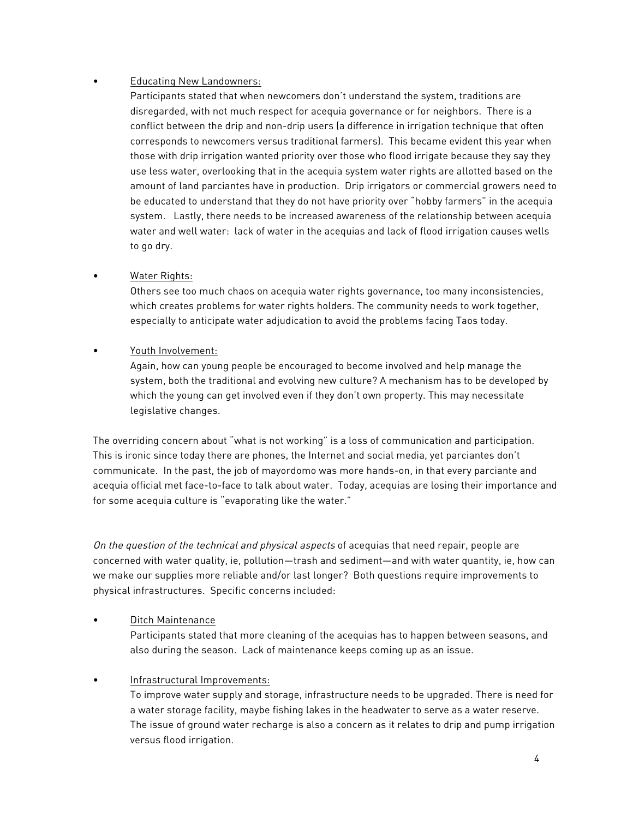## • Educating New Landowners:

Participants stated that when newcomers don't understand the system, traditions are disregarded, with not much respect for acequia governance or for neighbors. There is a conflict between the drip and non-drip users (a difference in irrigation technique that often corresponds to newcomers versus traditional farmers). This became evident this year when those with drip irrigation wanted priority over those who flood irrigate because they say they use less water, overlooking that in the acequia system water rights are allotted based on the amount of land parciantes have in production. Drip irrigators or commercial growers need to be educated to understand that they do not have priority over "hobby farmers" in the acequia system. Lastly, there needs to be increased awareness of the relationship between acequia water and well water: lack of water in the acequias and lack of flood irrigation causes wells to go dry.

## • Water Rights:

Others see too much chaos on acequia water rights governance, too many inconsistencies, which creates problems for water rights holders. The community needs to work together, especially to anticipate water adjudication to avoid the problems facing Taos today.

## • Youth Involvement:

Again, how can young people be encouraged to become involved and help manage the system, both the traditional and evolving new culture? A mechanism has to be developed by which the young can get involved even if they don't own property. This may necessitate legislative changes.

The overriding concern about "what is not working" is a loss of communication and participation. This is ironic since today there are phones, the Internet and social media, yet parciantes don't communicate. In the past, the job of mayordomo was more hands-on, in that every parciante and acequia official met face-to-face to talk about water. Today, acequias are losing their importance and for some acequia culture is "evaporating like the water."

On the question of the technical and physical aspects of acequias that need repair, people are concerned with water quality, ie, pollution—trash and sediment—and with water quantity, ie, how can we make our supplies more reliable and/or last longer? Both questions require improvements to physical infrastructures. Specific concerns included:

# Ditch Maintenance

Participants stated that more cleaning of the acequias has to happen between seasons, and also during the season. Lack of maintenance keeps coming up as an issue.

# • Infrastructural Improvements:

To improve water supply and storage, infrastructure needs to be upgraded. There is need for a water storage facility, maybe fishing lakes in the headwater to serve as a water reserve. The issue of ground water recharge is also a concern as it relates to drip and pump irrigation versus flood irrigation.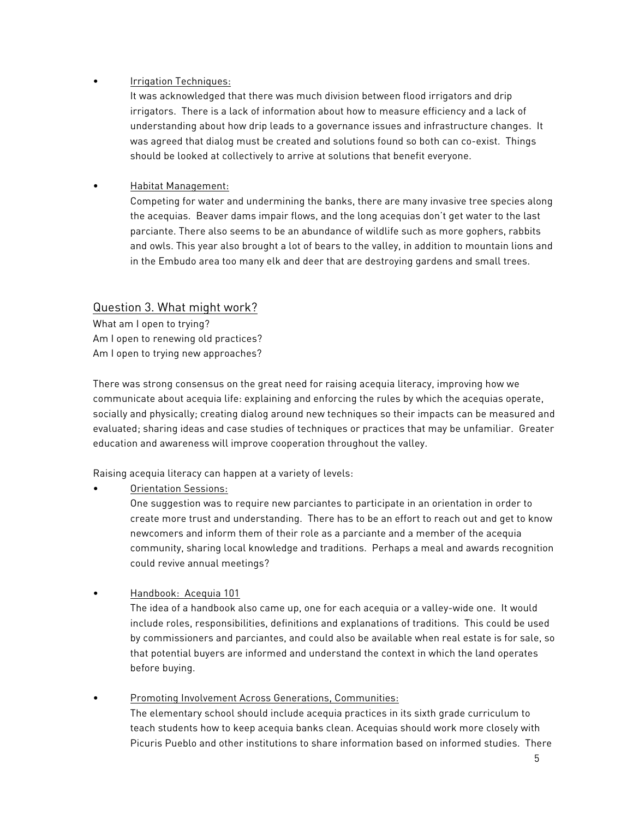# • Irrigation Techniques:

It was acknowledged that there was much division between flood irrigators and drip irrigators. There is a lack of information about how to measure efficiency and a lack of understanding about how drip leads to a governance issues and infrastructure changes. It was agreed that dialog must be created and solutions found so both can co-exist. Things should be looked at collectively to arrive at solutions that benefit everyone.

# • Habitat Management:

Competing for water and undermining the banks, there are many invasive tree species along the acequias. Beaver dams impair flows, and the long acequias don't get water to the last parciante. There also seems to be an abundance of wildlife such as more gophers, rabbits and owls. This year also brought a lot of bears to the valley, in addition to mountain lions and in the Embudo area too many elk and deer that are destroying gardens and small trees.

# Question 3. What might work?

What am I open to trying? Am I open to renewing old practices? Am I open to trying new approaches?

There was strong consensus on the great need for raising acequia literacy, improving how we communicate about acequia life: explaining and enforcing the rules by which the acequias operate, socially and physically; creating dialog around new techniques so their impacts can be measured and evaluated; sharing ideas and case studies of techniques or practices that may be unfamiliar. Greater education and awareness will improve cooperation throughout the valley.

Raising acequia literacy can happen at a variety of levels:

• Orientation Sessions:

One suggestion was to require new parciantes to participate in an orientation in order to create more trust and understanding. There has to be an effort to reach out and get to know newcomers and inform them of their role as a parciante and a member of the acequia community, sharing local knowledge and traditions. Perhaps a meal and awards recognition could revive annual meetings?

# • Handbook: Acequia 101

The idea of a handbook also came up, one for each acequia or a valley-wide one. It would include roles, responsibilities, definitions and explanations of traditions. This could be used by commissioners and parciantes, and could also be available when real estate is for sale, so that potential buyers are informed and understand the context in which the land operates before buying.

• Promoting Involvement Across Generations, Communities: The elementary school should include acequia practices in its sixth grade curriculum to teach students how to keep acequia banks clean. Acequias should work more closely with Picuris Pueblo and other institutions to share information based on informed studies. There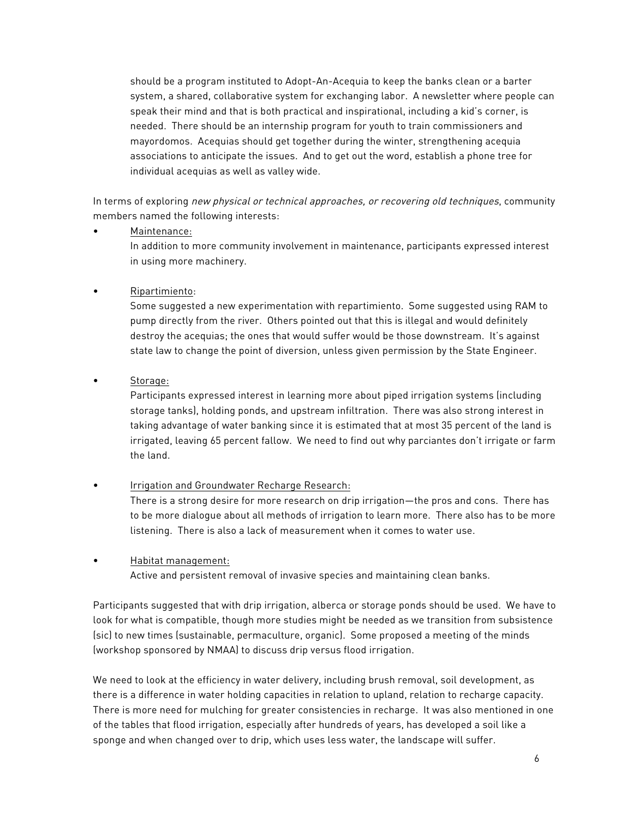should be a program instituted to Adopt-An-Acequia to keep the banks clean or a barter system, a shared, collaborative system for exchanging labor. A newsletter where people can speak their mind and that is both practical and inspirational, including a kid's corner, is needed. There should be an internship program for youth to train commissioners and mayordomos. Acequias should get together during the winter, strengthening acequia associations to anticipate the issues. And to get out the word, establish a phone tree for individual acequias as well as valley wide.

In terms of exploring new physical or technical approaches, or recovering old techniques, community members named the following interests:

• Maintenance:

In addition to more community involvement in maintenance, participants expressed interest in using more machinery.

• Ripartimiento:

Some suggested a new experimentation with repartimiento. Some suggested using RAM to pump directly from the river. Others pointed out that this is illegal and would definitely destroy the acequias; the ones that would suffer would be those downstream. It's against state law to change the point of diversion, unless given permission by the State Engineer.

• Storage:

Participants expressed interest in learning more about piped irrigation systems (including storage tanks), holding ponds, and upstream infiltration. There was also strong interest in taking advantage of water banking since it is estimated that at most 35 percent of the land is irrigated, leaving 65 percent fallow. We need to find out why parciantes don't irrigate or farm the land.

• Irrigation and Groundwater Recharge Research:

There is a strong desire for more research on drip irrigation—the pros and cons. There has to be more dialogue about all methods of irrigation to learn more. There also has to be more listening. There is also a lack of measurement when it comes to water use.

• Habitat management:

Active and persistent removal of invasive species and maintaining clean banks.

Participants suggested that with drip irrigation, alberca or storage ponds should be used. We have to look for what is compatible, though more studies might be needed as we transition from subsistence (sic) to new times (sustainable, permaculture, organic). Some proposed a meeting of the minds (workshop sponsored by NMAA) to discuss drip versus flood irrigation.

We need to look at the efficiency in water delivery, including brush removal, soil development, as there is a difference in water holding capacities in relation to upland, relation to recharge capacity. There is more need for mulching for greater consistencies in recharge. It was also mentioned in one of the tables that flood irrigation, especially after hundreds of years, has developed a soil like a sponge and when changed over to drip, which uses less water, the landscape will suffer.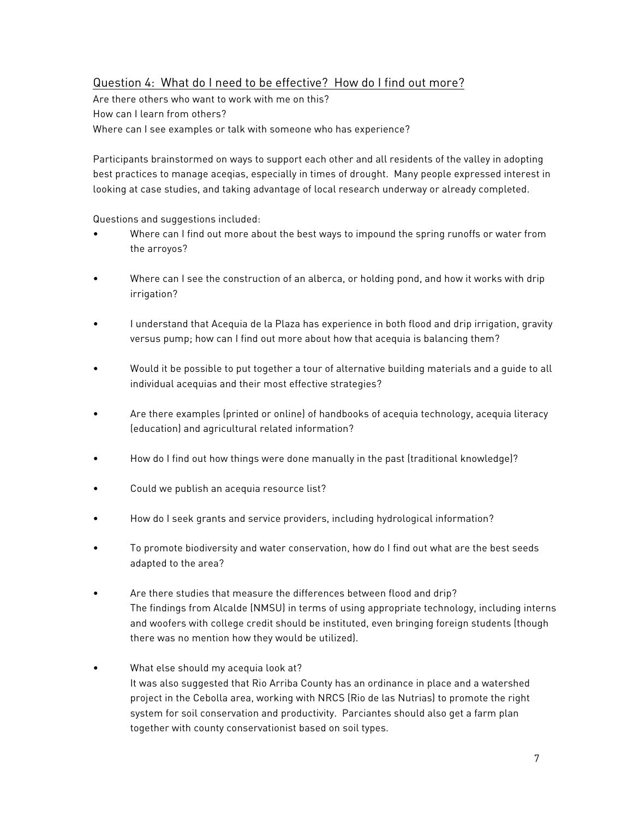# Question 4: What do I need to be effective? How do I find out more?

Are there others who want to work with me on this? How can I learn from others? Where can I see examples or talk with someone who has experience?

Participants brainstormed on ways to support each other and all residents of the valley in adopting best practices to manage aceqias, especially in times of drought. Many people expressed interest in looking at case studies, and taking advantage of local research underway or already completed.

Questions and suggestions included:

- Where can I find out more about the best ways to impound the spring runoffs or water from the arroyos?
- Where can I see the construction of an alberca, or holding pond, and how it works with drip irrigation?
- I understand that Acequia de la Plaza has experience in both flood and drip irrigation, gravity versus pump; how can I find out more about how that acequia is balancing them?
- Would it be possible to put together a tour of alternative building materials and a guide to all individual acequias and their most effective strategies?
- Are there examples (printed or online) of handbooks of acequia technology, acequia literacy (education) and agricultural related information?
- How do I find out how things were done manually in the past (traditional knowledge)?
- Could we publish an acequia resource list?
- How do I seek grants and service providers, including hydrological information?
- To promote biodiversity and water conservation, how do I find out what are the best seeds adapted to the area?
- Are there studies that measure the differences between flood and drip? The findings from Alcalde (NMSU) in terms of using appropriate technology, including interns and woofers with college credit should be instituted, even bringing foreign students (though there was no mention how they would be utilized).
- What else should my acequia look at? It was also suggested that Rio Arriba County has an ordinance in place and a watershed project in the Cebolla area, working with NRCS (Rio de las Nutrias) to promote the right system for soil conservation and productivity. Parciantes should also get a farm plan together with county conservationist based on soil types.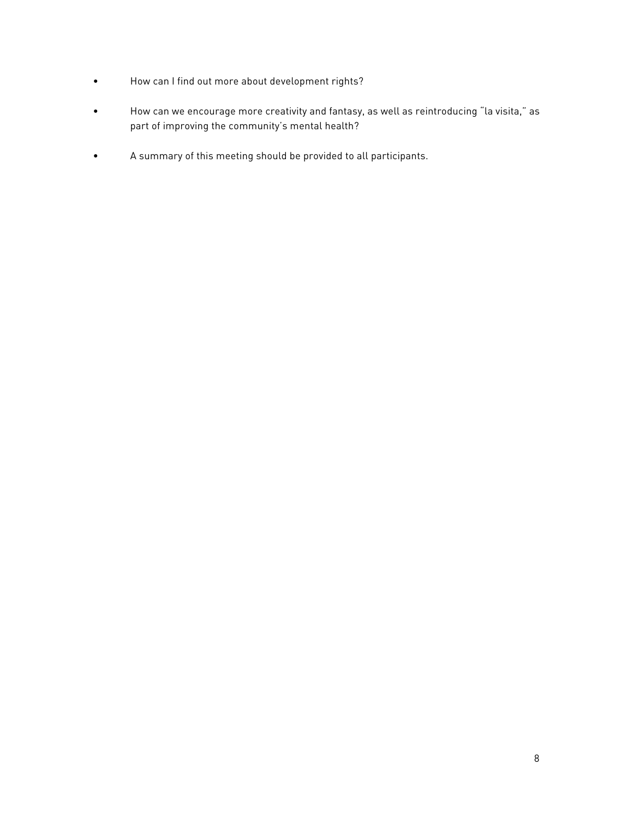- How can I find out more about development rights?
- How can we encourage more creativity and fantasy, as well as reintroducing "la visita," as part of improving the community's mental health?
- A summary of this meeting should be provided to all participants.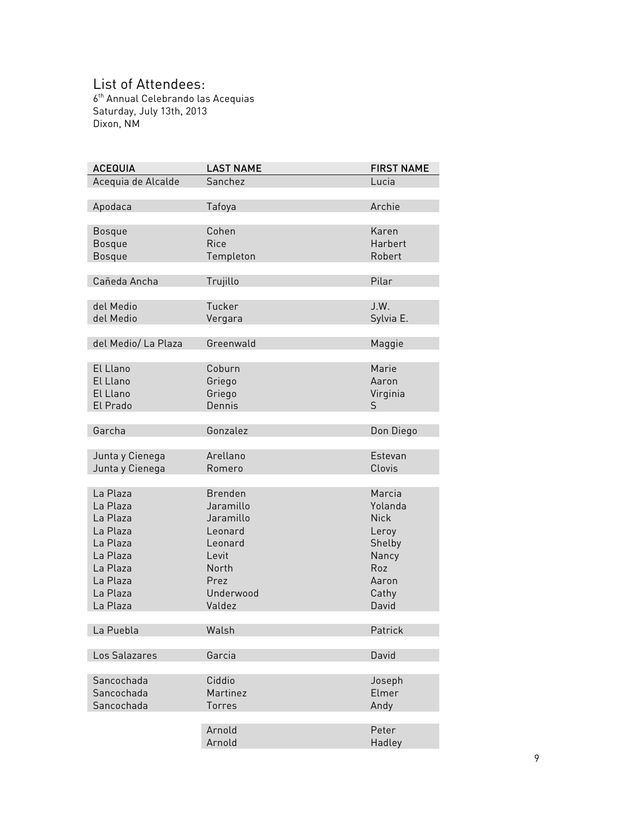# List of Attendees:

6<sup>th</sup> Annual Celebrando las Acequias Saturday, July 13th, 2013 Dixon, NM

| <b>ACEQUIA</b>      | <b>LAST NAME</b> | <b>FIRST NAME</b> |
|---------------------|------------------|-------------------|
| Acequia de Alcalde  | Sanchez          | Lucia             |
|                     |                  |                   |
| Apodaca             | Tafoya           | Archie            |
|                     |                  |                   |
| <b>Bosque</b>       | Cohen            | Karen             |
| <b>Bosque</b>       | Rice             | Harbert           |
| <b>Bosque</b>       | Templeton        | Robert            |
|                     |                  |                   |
| Cañeda Ancha        | Trujillo         | Pilar             |
|                     |                  |                   |
| del Medio           | Tucker           | J.W.              |
| del Medio           | Vergara          | Sylvia E.         |
|                     |                  |                   |
| del Medio/ La Plaza | Greenwald        | Maggie            |
|                     |                  |                   |
| El Llano            | Coburn           | Marie             |
| El Llano            | Griego           | Aaron             |
| El Llano            |                  |                   |
|                     | Griego           | Virginia          |
| El Prado            | Dennis           | S                 |
|                     |                  |                   |
| Garcha              | Gonzalez         | Don Diego         |
|                     |                  |                   |
| Junta y Cienega     | Arellano         | Estevan           |
| Junta y Cienega     | Romero           | Clovis            |
|                     |                  |                   |
| La Plaza            | <b>Brenden</b>   | Marcia            |
| La Plaza            | Jaramillo        | Yolanda           |
| La Plaza            | Jaramillo        | <b>Nick</b>       |
| La Plaza            | Leonard          | Leroy             |
| La Plaza            | Leonard          | Shelby            |
| La Plaza            | Levit            | Nancy             |
| La Plaza            | North            | Roz               |
| La Plaza            | Prez             | Aaron             |
| La Plaza            | Underwood        | Cathy             |
| La Plaza            | Valdez           | David             |
|                     |                  |                   |
| La Puebla           | Walsh            | Patrick           |
|                     |                  |                   |
| Los Salazares       | Garcia           | David             |
|                     |                  |                   |
| Sancochada          | Ciddio           | Joseph            |
| Sancochada          | Martinez         | Elmer             |
| Sancochada          | Torres           | Andy              |
|                     |                  |                   |
|                     | Arnold           | Peter             |
|                     | Arnold           | Hadley            |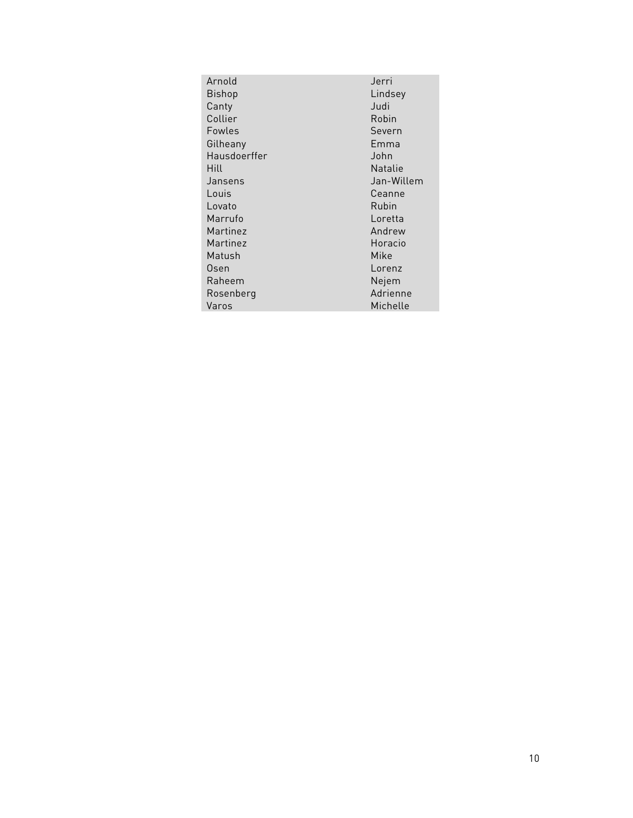| Arnold       | Jerri          |  |
|--------------|----------------|--|
| Bishop       | Lindsey        |  |
| Canty        | Judi           |  |
| Collier      | Robin          |  |
| Fowles       | Severn         |  |
| Gilheany     | Emma           |  |
| Hausdoerffer | John           |  |
| Hill         | <b>Natalie</b> |  |
| Jansens      | Jan-Willem     |  |
| Louis        | Ceanne         |  |
| Lovato       | Rubin          |  |
| Marrufo      | Loretta        |  |
| Martinez     | Andrew         |  |
| Martinez     | Horacio        |  |
| Matush       | Mike           |  |
| Osen         | Lorenz         |  |
| Raheem       | Nejem          |  |
| Rosenberg    | Adrienne       |  |
| Varos        | Michelle       |  |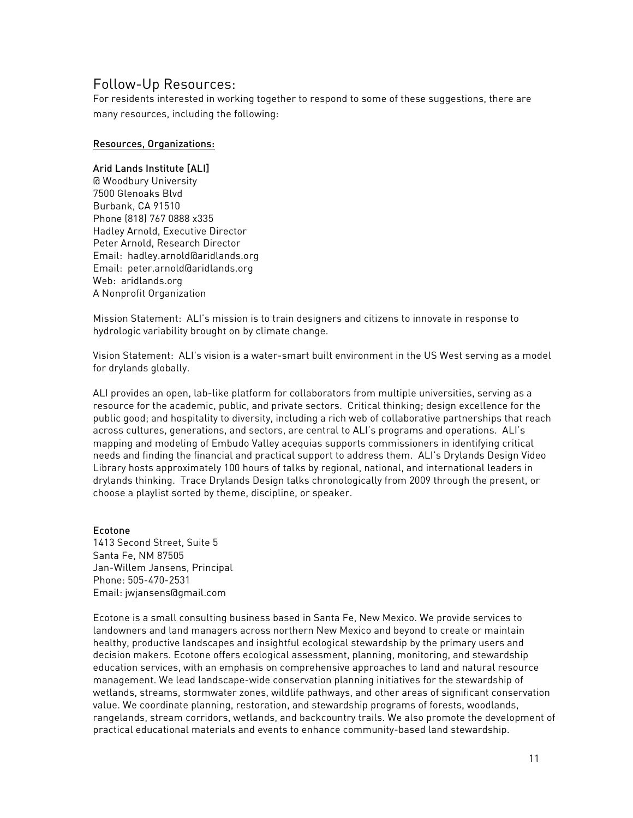# Follow-Up Resources:

For residents interested in working together to respond to some of these suggestions, there are many resources, including the following:

## Resources, Organizations:

## Arid Lands Institute [ALI]

@ Woodbury University 7500 Glenoaks Blvd Burbank, CA 91510 Phone (818) 767 0888 x335 Hadley Arnold, Executive Director Peter Arnold, Research Director Email: hadley.arnold@aridlands.org Email: peter.arnold@aridlands.org Web: aridlands.org A Nonprofit Organization

Mission Statement: ALI's mission is to train designers and citizens to innovate in response to hydrologic variability brought on by climate change.

Vision Statement: ALI's vision is a water-smart built environment in the US West serving as a model for drylands globally.

ALI provides an open, lab-like platform for collaborators from multiple universities, serving as a resource for the academic, public, and private sectors. Critical thinking; design excellence for the public good; and hospitality to diversity, including a rich web of collaborative partnerships that reach across cultures, generations, and sectors, are central to ALI's programs and operations. ALI's mapping and modeling of Embudo Valley acequias supports commissioners in identifying critical needs and finding the financial and practical support to address them. ALI's Drylands Design Video Library hosts approximately 100 hours of talks by regional, national, and international leaders in drylands thinking. Trace Drylands Design talks chronologically from 2009 through the present, or choose a playlist sorted by theme, discipline, or speaker.

## Ecotone

1413 Second Street, Suite 5 Santa Fe, NM 87505 Jan-Willem Jansens, Principal Phone: 505-470-2531 Email: jwjansens@gmail.com

Ecotone is a small consulting business based in Santa Fe, New Mexico. We provide services to landowners and land managers across northern New Mexico and beyond to create or maintain healthy, productive landscapes and insightful ecological stewardship by the primary users and decision makers. Ecotone offers ecological assessment, planning, monitoring, and stewardship education services, with an emphasis on comprehensive approaches to land and natural resource management. We lead landscape-wide conservation planning initiatives for the stewardship of wetlands, streams, stormwater zones, wildlife pathways, and other areas of significant conservation value. We coordinate planning, restoration, and stewardship programs of forests, woodlands, rangelands, stream corridors, wetlands, and backcountry trails. We also promote the development of practical educational materials and events to enhance community-based land stewardship.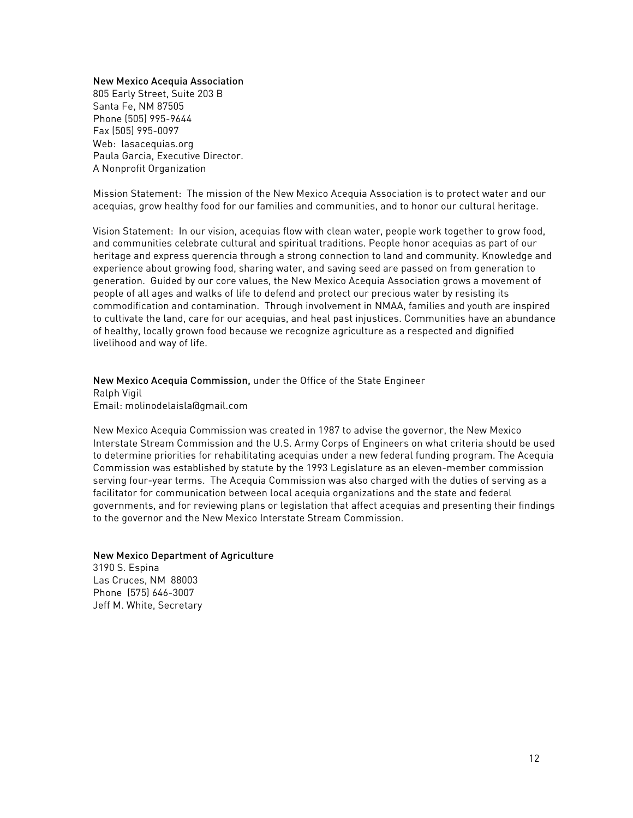#### New Mexico Acequia Association

805 Early Street, Suite 203 B Santa Fe, NM 87505 Phone (505) 995-9644 Fax (505) 995-0097 Web: lasacequias.org Paula Garcia, Executive Director. A Nonprofit Organization

Mission Statement: The mission of the New Mexico Acequia Association is to protect water and our acequias, grow healthy food for our families and communities, and to honor our cultural heritage.

Vision Statement: In our vision, acequias flow with clean water, people work together to grow food, and communities celebrate cultural and spiritual traditions. People honor acequias as part of our heritage and express querencia through a strong connection to land and community. Knowledge and experience about growing food, sharing water, and saving seed are passed on from generation to generation. Guided by our core values, the New Mexico Acequia Association grows a movement of people of all ages and walks of life to defend and protect our precious water by resisting its commodification and contamination. Through involvement in NMAA, families and youth are inspired to cultivate the land, care for our acequias, and heal past injustices. Communities have an abundance of healthy, locally grown food because we recognize agriculture as a respected and dignified livelihood and way of life.

New Mexico Acequia Commission, under the Office of the State Engineer Ralph Vigil Email: molinodelaisla@gmail.com

New Mexico Acequia Commission was created in 1987 to advise the governor, the New Mexico Interstate Stream Commission and the U.S. Army Corps of Engineers on what criteria should be used to determine priorities for rehabilitating acequias under a new federal funding program. The Acequia Commission was established by statute by the 1993 Legislature as an eleven-member commission serving four-year terms. The Acequia Commission was also charged with the duties of serving as a facilitator for communication between local acequia organizations and the state and federal governments, and for reviewing plans or legislation that affect acequias and presenting their findings to the governor and the New Mexico Interstate Stream Commission.

#### New Mexico Department of Agriculture

3190 S. Espina Las Cruces, NM 88003 Phone (575) 646-3007 Jeff M. White, Secretary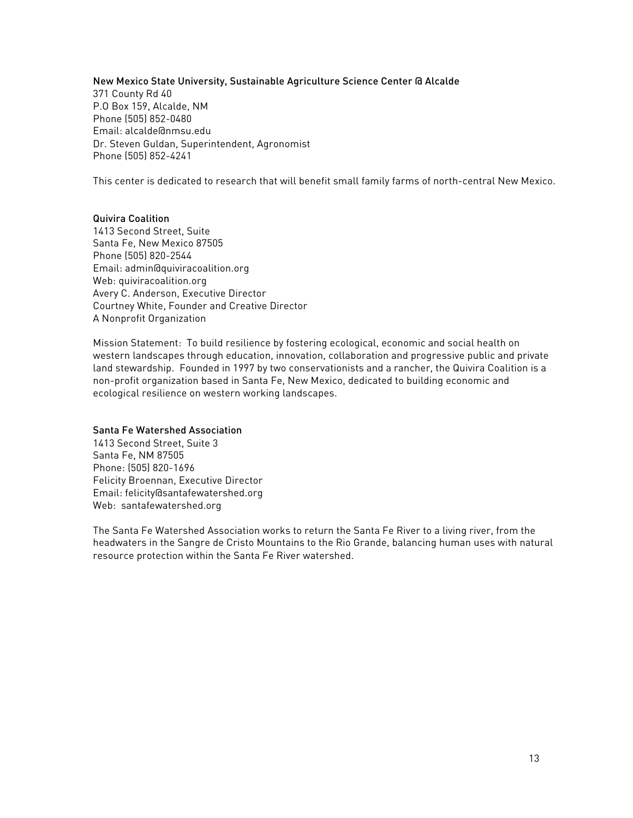## New Mexico State University, Sustainable Agriculture Science Center @ Alcalde

371 County Rd 40 P.O Box 159, Alcalde, NM Phone (505) 852-0480 Email: alcalde@nmsu.edu Dr. Steven Guldan, Superintendent, Agronomist Phone (505) 852-4241

This center is dedicated to research that will benefit small family farms of north-central New Mexico.

## Quivira Coalition

1413 Second Street, Suite Santa Fe, New Mexico 87505 Phone (505) 820-2544 Email: admin@quiviracoalition.org Web: quiviracoalition.org Avery C. Anderson, Executive Director Courtney White, Founder and Creative Director A Nonprofit Organization

Mission Statement: To build resilience by fostering ecological, economic and social health on western landscapes through education, innovation, collaboration and progressive public and private land stewardship. Founded in 1997 by two conservationists and a rancher, the Quivira Coalition is a non-profit organization based in Santa Fe, New Mexico, dedicated to building economic and ecological resilience on western working landscapes.

## Santa Fe Watershed Association

1413 Second Street, Suite 3 Santa Fe, NM 87505 Phone: (505) 820-1696 Felicity Broennan, Executive Director Email: felicity@santafewatershed.org Web: santafewatershed.org

The Santa Fe Watershed Association works to return the Santa Fe River to a living river, from the headwaters in the Sangre de Cristo Mountains to the Rio Grande, balancing human uses with natural resource protection within the Santa Fe River watershed.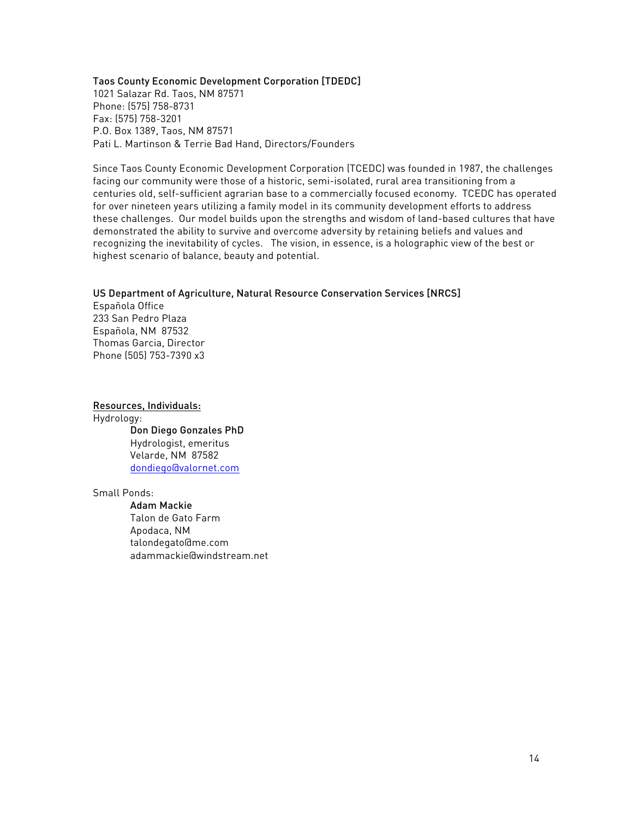#### Taos County Economic Development Corporation [TDEDC]

1021 Salazar Rd. Taos, NM 87571 Phone: (575) 758-8731 Fax: (575) 758-3201 P.O. Box 1389, Taos, NM 87571 Pati L. Martinson & Terrie Bad Hand, Directors/Founders

Since Taos County Economic Development Corporation (TCEDC) was founded in 1987, the challenges facing our community were those of a historic, semi-isolated, rural area transitioning from a centuries old, self-sufficient agrarian base to a commercially focused economy. TCEDC has operated for over nineteen years utilizing a family model in its community development efforts to address these challenges. Our model builds upon the strengths and wisdom of land-based cultures that have demonstrated the ability to survive and overcome adversity by retaining beliefs and values and recognizing the inevitability of cycles. The vision, in essence, is a holographic view of the best or highest scenario of balance, beauty and potential.

## US Department of Agriculture, Natural Resource Conservation Services [NRCS]

Española Office 233 San Pedro Plaza Española, NM 87532 Thomas Garcia, Director Phone (505) 753-7390 x3

Resources, Individuals: Hydrology: Don Diego Gonzales PhD Hydrologist, emeritus Velarde, NM 87582 dondiego@valornet.com

Small Ponds:

Adam Mackie Talon de Gato Farm Apodaca, NM talondegato@me.com adammackie@windstream.net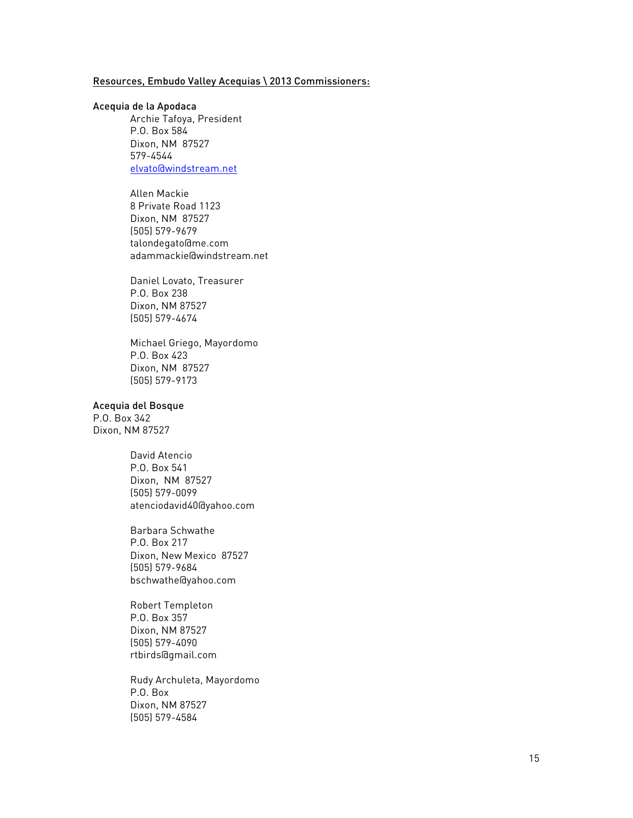## Resources, Embudo Valley Acequias \ 2013 Commissioners:

#### Acequia de la Apodaca

Archie Tafoya, President P.O. Box 584 Dixon, NM 87527 579-4544 elvato@windstream.net

Allen Mackie 8 Private Road 1123 Dixon, NM 87527 (505) 579-9679 talondegato@me.com adammackie@windstream.net

Daniel Lovato, Treasurer P.O. Box 238 Dixon, NM 87527 (505) 579-4674

Michael Griego, Mayordomo P.O. Box 423 Dixon, NM 87527 (505) 579-9173

## Acequia del Bosque

P.O. Box 342 Dixon, NM 87527

> David Atencio P.O. Box 541 Dixon, NM 87527 (505) 579-0099 atenciodavid40@yahoo.com

Barbara Schwathe P.O. Box 217 Dixon, New Mexico 87527 (505) 579-9684 bschwathe@yahoo.com

Robert Templeton P.O. Box 357 Dixon, NM 87527 (505) 579-4090 rtbirds@gmail.com

Rudy Archuleta, Mayordomo P.O. Box Dixon, NM 87527 (505) 579-4584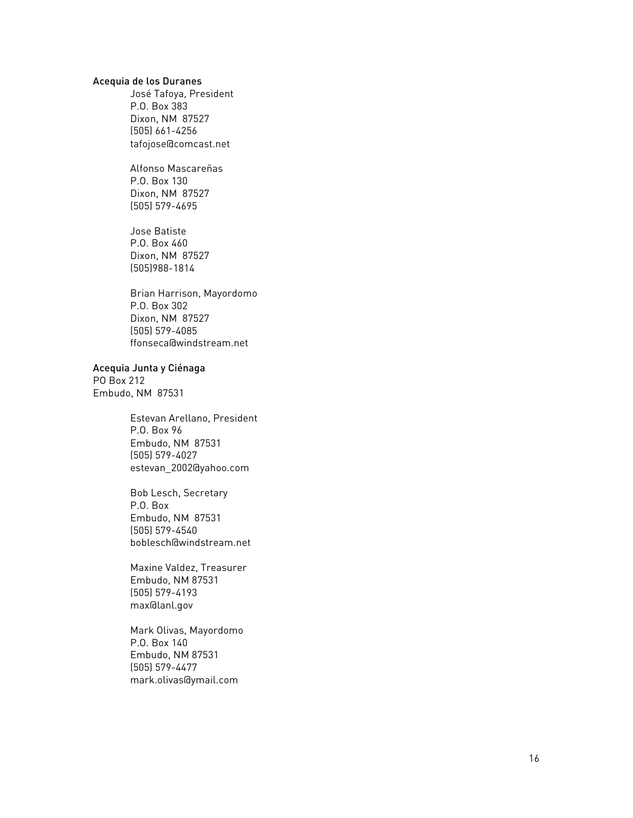### Acequia de los Duranes

José Tafoya, President P.O. Box 383 Dixon, NM 87527 (505) 661 -4256 tafojose@comcast.net

Alfonso Mascareñas P.O. Box 130 Dixon, NM 87527 (505) 579 -4695

Jose Batiste P.O. Box 460 Dixon, NM 87527 (505)988 -1814

Brian Harrison, Mayordomo P.O. Box 302 Dixon, NM 87527 (505) 579 -4085 ffonseca@windstream.net

Acequia Junta y Ciénaga

PO Box 212 Embudo, NM 87531

> Estevan Arellano, President P.O. Box 96 Embudo, NM 87531 (505) 579 -4027 estevan\_2002@yahoo.com

Bob Lesch, Secretary P.O. Box Embudo, NM 87531 (505) 579 -4540 boblesch@windstream.net

Maxine Valdez, Treasurer Embudo, NM 87531 (505) 579 -4193 max@lanl.gov

Mark Olivas, Mayordomo P.O. Box 140 Embudo, NM 87531 (505) 579 -4477 mark.olivas@ymail.com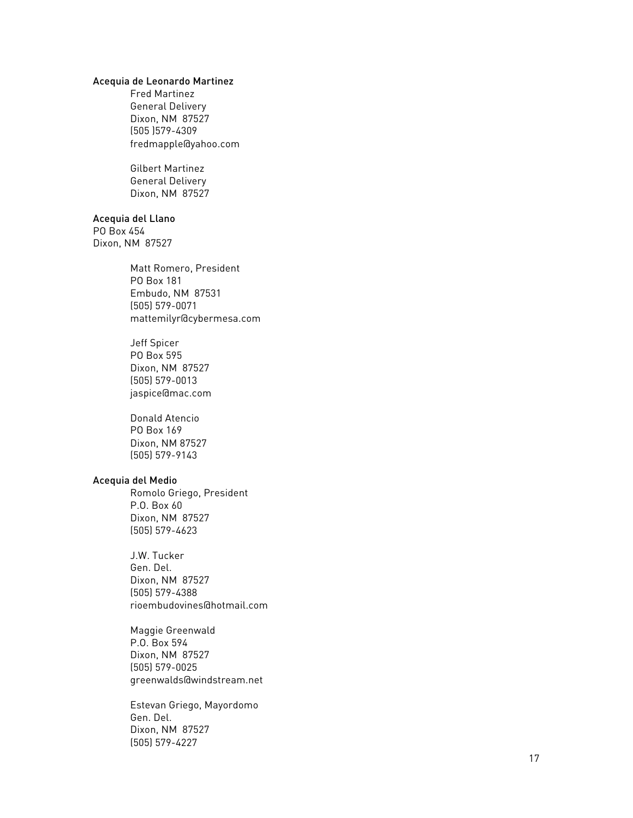## Acequia de Leonardo Martinez

Fred Martinez General Delivery Dixon, NM 87527 (505 )579 -4309 fredmapple@yahoo.com

Gilbert Martinez General Deliver y Dixon, NM 87527

### Acequia del Llano

PO Box 454 Dixon, NM 87527

> Matt Romero, President PO Box 181 Embudo, NM 87531 (505) 579 -0071 mattemilyr@cybermesa.com

Jeff Spicer PO Box 595 Dixon, NM 87527 (505) 579 -0013 jaspice@mac.com

Donald Atencio PO Box 169 Dixon, NM 87527 (505) 579 -9143

## Acequia del Medio

Romolo Griego, President P.O. Box 60 Dixon, NM 87527 (505) 579 -4623

J.W. Tucker Gen. Del. Dixon, NM 87527 (505) 579 -4388 rioembudovines@hotmail.com

Maggie Greenwald P.O. Box 594 Dixon, NM 87527 (505) 579 -0025 greenwalds@windstream.net

Estevan Griego, Mayordomo Gen. Del. Dixon, NM 87527 (505) 579 -4227